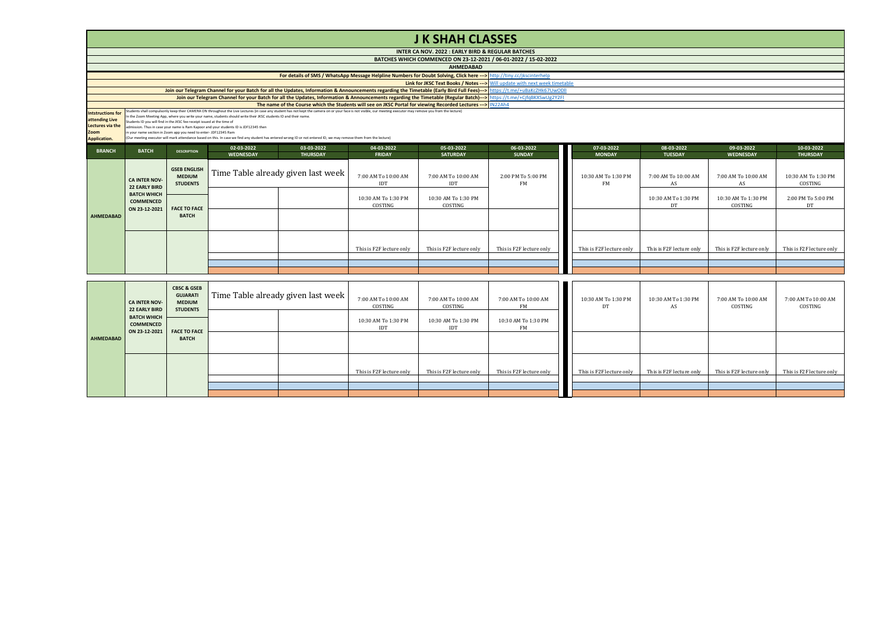|                                                                                        |                                                                                                         |                                                                               |                                                                                                                                                                                                         |                                                                                                                                                                                                                                                                                                                                                                                        |                                   | <b>J K SHAH CLASSES</b>                           |                                                                                                                                                                             |                                  |                                |                                |                                |
|----------------------------------------------------------------------------------------|---------------------------------------------------------------------------------------------------------|-------------------------------------------------------------------------------|---------------------------------------------------------------------------------------------------------------------------------------------------------------------------------------------------------|----------------------------------------------------------------------------------------------------------------------------------------------------------------------------------------------------------------------------------------------------------------------------------------------------------------------------------------------------------------------------------------|-----------------------------------|---------------------------------------------------|-----------------------------------------------------------------------------------------------------------------------------------------------------------------------------|----------------------------------|--------------------------------|--------------------------------|--------------------------------|
|                                                                                        |                                                                                                         |                                                                               |                                                                                                                                                                                                         |                                                                                                                                                                                                                                                                                                                                                                                        |                                   | INTER CA NOV. 2022 : EARLY BIRD & REGULAR BATCHES |                                                                                                                                                                             |                                  |                                |                                |                                |
|                                                                                        |                                                                                                         |                                                                               |                                                                                                                                                                                                         |                                                                                                                                                                                                                                                                                                                                                                                        |                                   |                                                   | BATCHES WHICH COMMENCED ON 23-12-2021 / 06-01-2022 / 15-02-2022                                                                                                             |                                  |                                |                                |                                |
|                                                                                        |                                                                                                         |                                                                               |                                                                                                                                                                                                         |                                                                                                                                                                                                                                                                                                                                                                                        |                                   | <b>AHMEDABAD</b>                                  |                                                                                                                                                                             |                                  |                                |                                |                                |
|                                                                                        |                                                                                                         |                                                                               |                                                                                                                                                                                                         | For details of SMS / WhatsApp Message Helpline Numbers for Doubt Solving, Click here ---> http://tiny.cc/jkscinterhelp                                                                                                                                                                                                                                                                 |                                   |                                                   |                                                                                                                                                                             |                                  |                                |                                |                                |
|                                                                                        |                                                                                                         |                                                                               |                                                                                                                                                                                                         |                                                                                                                                                                                                                                                                                                                                                                                        |                                   |                                                   | Link for JKSC Text Books / Notes --- > Will update with next week timetable                                                                                                 |                                  |                                |                                |                                |
|                                                                                        |                                                                                                         |                                                                               |                                                                                                                                                                                                         |                                                                                                                                                                                                                                                                                                                                                                                        |                                   |                                                   | Join our Telegram Channel for your Batch for all the Updates, Information & Announcements regarding the Timetable (Early Bird Full Fees)---> https://t.me/+uBaKcZHk67UwODII |                                  |                                |                                |                                |
|                                                                                        |                                                                                                         |                                                                               |                                                                                                                                                                                                         | The name of the Course which the Students will see on JKSC Portal for viewing Recorded Lectures ---> IN22Ah4                                                                                                                                                                                                                                                                           |                                   |                                                   | Join our Telegram Channel for your Batch for all the Updates, Information & Announcements regarding the Timetable (Regular Batch)---> https://t.me/+CjfqBKXSwUg2Y2FI        |                                  |                                |                                |                                |
| <b>Intstructions for</b><br>attending Live<br>lectures via the<br>Zoom<br>Application. | Students ID you will find in the JKSC fee receipt issued at the time of                                 | in your name section in Zoom app you need to enter- JDF12345 Ram              | n the Zoom Meeting App, where you write your name, students should write their JKSC students ID and their name<br>admission. Thus in case your name is Ram Kapoor and your students ID is JDF12345 then | Students shall compulsorily keep their CAMERA ON throughout the Live Lectures (in case any student has not kept the camera on or your face is not visible, our meeting executor may remove you from the lecture)<br>(Our meeting executor will mark attendance based on this. In case we find any student has entered wrong ID or not entered ID, we may remove them from the lecture) |                                   |                                                   |                                                                                                                                                                             |                                  |                                |                                |                                |
| <b>BRANCH</b>                                                                          | <b>BATCH</b>                                                                                            | <b>DESCRIPTION</b>                                                            | 02-03-2022                                                                                                                                                                                              | 03-03-2022                                                                                                                                                                                                                                                                                                                                                                             | 04-03-2022                        | 05-03-2022                                        | 06-03-2022                                                                                                                                                                  | 07-03-2022                       | 08-03-2022                     | 09-03-2022                     | 10-03-2022                     |
|                                                                                        |                                                                                                         |                                                                               | WEDNESDAY                                                                                                                                                                                               | <b>THURSDAY</b>                                                                                                                                                                                                                                                                                                                                                                        | <b>FRIDAY</b>                     | <b>SATURDAY</b>                                   | <b>SUNDAY</b>                                                                                                                                                               | <b>MONDAY</b>                    | <b>TUESDAY</b>                 | <b>WEDNESDAY</b>               | <b>THURSDAY</b>                |
|                                                                                        | <b>CA INTER NOV-</b><br><b>22 EARLY BIRD</b><br><b>BATCH WHICH</b><br><b>COMMENCED</b><br>ON 23-12-2021 | <b>GSEB ENGLISH</b><br><b>MEDIUM</b><br><b>STUDENTS</b>                       | Time Table already given last week                                                                                                                                                                      |                                                                                                                                                                                                                                                                                                                                                                                        | 7:00 AM To 10:00 AM<br>IDT        | 7:00 AM To 10:00 AM<br><b>IDT</b>                 | 2:00 PM To 5:00 PM<br><b>FM</b>                                                                                                                                             | 10:30 AM To 1:30 PM<br><b>FM</b> | 7:00 AM To 10:00 AM<br>AS      | 7:00 AM To 10:00 AM<br>AS      | 10:30 AM To 1:30 PM<br>COSTING |
|                                                                                        |                                                                                                         | <b>FACE TO FACE</b><br><b>BATCH</b>                                           |                                                                                                                                                                                                         | 10:30 AM To 1:30 PM<br>COSTING                                                                                                                                                                                                                                                                                                                                                         | 10:30 AM To 1:30 PM<br>COSTING    |                                                   |                                                                                                                                                                             | 10:30 AM To 1:30 PM<br>DT        | 10:30 AM To 1:30 PM<br>COSTING | 2:00 PM To 5:00 PM<br>DT       |                                |
| <b>AHMEDABAD</b>                                                                       |                                                                                                         |                                                                               |                                                                                                                                                                                                         |                                                                                                                                                                                                                                                                                                                                                                                        |                                   |                                                   |                                                                                                                                                                             |                                  |                                |                                |                                |
|                                                                                        |                                                                                                         |                                                                               |                                                                                                                                                                                                         |                                                                                                                                                                                                                                                                                                                                                                                        | This is F2F lecture only          | This is F2F lecture only                          | This is F2F lecture only                                                                                                                                                    | This is F2F lecture only         | This is F2F lecture only       | This is F2F lecture only       | This is F2F lecture only       |
|                                                                                        |                                                                                                         |                                                                               |                                                                                                                                                                                                         |                                                                                                                                                                                                                                                                                                                                                                                        |                                   |                                                   |                                                                                                                                                                             |                                  |                                |                                |                                |
|                                                                                        |                                                                                                         |                                                                               |                                                                                                                                                                                                         |                                                                                                                                                                                                                                                                                                                                                                                        |                                   |                                                   |                                                                                                                                                                             |                                  |                                |                                |                                |
|                                                                                        |                                                                                                         |                                                                               |                                                                                                                                                                                                         |                                                                                                                                                                                                                                                                                                                                                                                        |                                   |                                                   |                                                                                                                                                                             |                                  |                                |                                |                                |
|                                                                                        | <b>CA INTER NOV-</b><br><b>22 EARLY BIRD</b>                                                            | <b>CBSC &amp; GSEB</b><br><b>GUJARATI</b><br><b>MEDIUM</b><br><b>STUDENTS</b> | Time Table already given last week                                                                                                                                                                      |                                                                                                                                                                                                                                                                                                                                                                                        | 7:00 AM To 10:00 AM<br>COSTING    | 7:00 AM To 10:00 AM<br>COSTING                    | 7:00 AM To 10:00 AM<br>FM                                                                                                                                                   | 10:30 AM To 1:30 PM<br>DT        | 10:30 AM To 1:30 PM<br>AS      | 7:00 AM To 10:00 AM<br>COSTING | 7:00 AM To 10:00 AM<br>COSTING |
|                                                                                        | <b>BATCH WHICH</b><br><b>COMMENCED</b>                                                                  |                                                                               |                                                                                                                                                                                                         |                                                                                                                                                                                                                                                                                                                                                                                        | 10:30 AM To 1:30 PM<br><b>IDT</b> | 10:30 AM To 1:30 PM                               | 10:30 AM To 1:30 PM                                                                                                                                                         |                                  |                                |                                |                                |

10:30 AM To 1:30 PM 10:30 AM To 1:30 PM 10:30 AM To 1:30 PM IDT IDT FM

**FACE TO FACE BATCH**

**ON 23-12-2021**

**AHMEDABAD**

This is F2F lecture only This is F2F lecture only This is F2F lecture only This is F2F lecture only This is F2F lecture only This is F2F lecture only This is F2F lecture only This is F2F lecture only This is F2F lecture on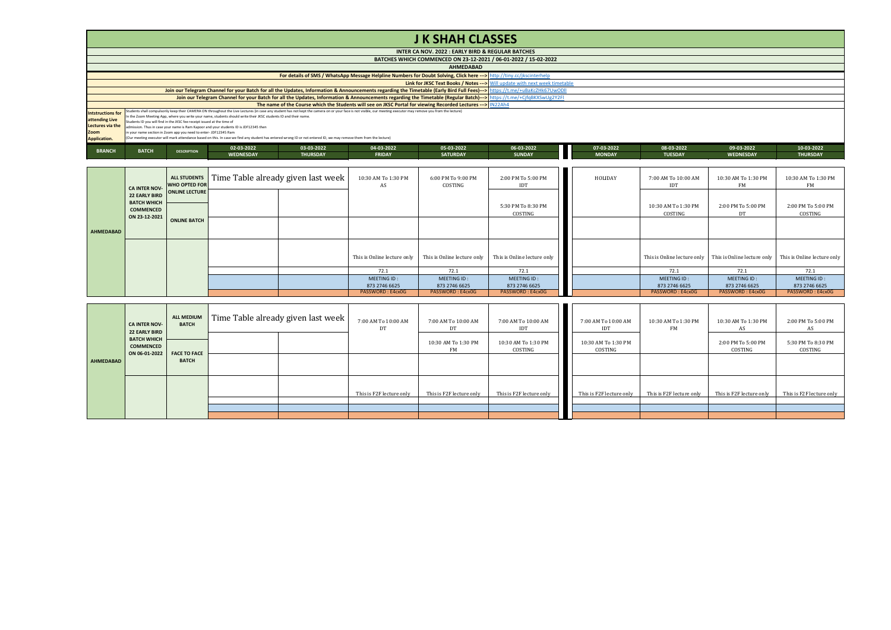## **J K SHAH CLASSES**

|                          |                                                                                                                                                                      |  |                                                                                                                  |                  |                                                                                                                                                                                                                  | INTER CA NOV. 2022 : EARLY BIRD & REGULAR BATCHES                                                             |                                                                                                                                                                            |               |               |                |                  |                 |  |
|--------------------------|----------------------------------------------------------------------------------------------------------------------------------------------------------------------|--|------------------------------------------------------------------------------------------------------------------|------------------|------------------------------------------------------------------------------------------------------------------------------------------------------------------------------------------------------------------|---------------------------------------------------------------------------------------------------------------|----------------------------------------------------------------------------------------------------------------------------------------------------------------------------|---------------|---------------|----------------|------------------|-----------------|--|
|                          | BATCHES WHICH COMMENCED ON 23-12-2021 / 06-01-2022 / 15-02-2022                                                                                                      |  |                                                                                                                  |                  |                                                                                                                                                                                                                  |                                                                                                               |                                                                                                                                                                            |               |               |                |                  |                 |  |
|                          | <b>AHMEDABAD</b>                                                                                                                                                     |  |                                                                                                                  |                  |                                                                                                                                                                                                                  |                                                                                                               |                                                                                                                                                                            |               |               |                |                  |                 |  |
|                          | For details of SMS / WhatsApp Message Helpline Numbers for Doubt Solving, Click here ---> http://tiny.cc/jkscinterhelp                                               |  |                                                                                                                  |                  |                                                                                                                                                                                                                  |                                                                                                               |                                                                                                                                                                            |               |               |                |                  |                 |  |
|                          |                                                                                                                                                                      |  |                                                                                                                  |                  |                                                                                                                                                                                                                  |                                                                                                               | <b>Link for JKSC Text Books / Notes ---&gt;</b> Will update with next week timetable                                                                                       |               |               |                |                  |                 |  |
|                          |                                                                                                                                                                      |  |                                                                                                                  |                  |                                                                                                                                                                                                                  |                                                                                                               | Join our Telegram Channel for your Batch for all the Updates, Information & Announcements regarding the Timetable (Early Bird Full Fees)--> https://t.me/+uBaKcZHk67UwODII |               |               |                |                  |                 |  |
|                          | Join our Telegram Channel for your Batch for all the Updates, Information & Announcements regarding the Timetable (Regular Batch)---> https://t.me/+CjfqBKXSwUg2Y2FI |  |                                                                                                                  |                  |                                                                                                                                                                                                                  |                                                                                                               |                                                                                                                                                                            |               |               |                |                  |                 |  |
|                          |                                                                                                                                                                      |  |                                                                                                                  |                  |                                                                                                                                                                                                                  | The name of the Course which the Students will see on JKSC Portal for viewing Recorded Lectures --- > IN22Ah4 |                                                                                                                                                                            |               |               |                |                  |                 |  |
| <b>Intstructions for</b> |                                                                                                                                                                      |  |                                                                                                                  |                  | Students shall compulsorily keep their CAMERA ON throughout the Live Lectures (in case any student has not kept the camera on or your face is not visible, our meeting executor may remove you from the lecture) |                                                                                                               |                                                                                                                                                                            |               |               |                |                  |                 |  |
| attending Live           | Students ID you will find in the JKSC fee receipt issued at the time of                                                                                              |  | In the Zoom Meeting App, where you write your name, students should write their JKSC students ID and their name. |                  |                                                                                                                                                                                                                  |                                                                                                               |                                                                                                                                                                            |               |               |                |                  |                 |  |
| <b>Lectures via the</b>  |                                                                                                                                                                      |  | admission. Thus in case your name is Ram Kapoor and your students ID is JDF12345 then                            |                  |                                                                                                                                                                                                                  |                                                                                                               |                                                                                                                                                                            |               |               |                |                  |                 |  |
| Zoom                     | in your name section in Zoom app you need to enter- JDF12345 Ram                                                                                                     |  |                                                                                                                  |                  |                                                                                                                                                                                                                  |                                                                                                               |                                                                                                                                                                            |               |               |                |                  |                 |  |
| Application.             | (Our meeting executor will mark attendance based on this. In case we find any student has entered wrong ID or not entered ID, we may remove them from the lecture)   |  |                                                                                                                  |                  |                                                                                                                                                                                                                  |                                                                                                               |                                                                                                                                                                            |               |               |                |                  |                 |  |
|                          |                                                                                                                                                                      |  | 02-03-2022                                                                                                       | 03-03-2022       | 04-03-2022                                                                                                                                                                                                       | 05-03-2022                                                                                                    | 06-03-2022                                                                                                                                                                 | 07-03-2022    | 08-03-2022    | 09-03-2022     | 10-03-2022       |                 |  |
| <b>BRANCH</b>            | <b>BATCH</b>                                                                                                                                                         |  | <b>DESCRIPTION</b>                                                                                               | <b>WEDNESDAY</b> | <b>THURSDAY</b>                                                                                                                                                                                                  | <b>FRIDAY</b>                                                                                                 | <b>SATURDAY</b>                                                                                                                                                            | <b>SUNDAY</b> | <b>MONDAY</b> | <b>TUESDAY</b> | <b>WEDNESDAY</b> | <b>THURSDAY</b> |  |

|           | <b>CA INTER NOV-</b>                                    | ALL STUDENTS<br><b>WHO OPTED FOR</b> | Time Table already given last week | 10:30 AM To 1:30 PM<br>AS    | 6:00 PM To 9:00 PM<br>COSTING | 2:00 PM To 5:00 PM<br>IDT     | HOLIDAY | 7:00 AM To 10:00 AM<br>IDT     | 10:30 AM To 1:30 PM<br>FM    | 10:30 AM To 1:30 PM<br><b>FM</b> |
|-----------|---------------------------------------------------------|--------------------------------------|------------------------------------|------------------------------|-------------------------------|-------------------------------|---------|--------------------------------|------------------------------|----------------------------------|
|           | <b>BATCH WHICH</b><br><b>COMMENCED</b><br>ON 23-12-2021 | 22 EARLY BIRD ONLINE LECTURE         |                                    |                              |                               | 5:30 PM To 8:30 PM<br>COSTING |         | 10:30 AM To 1:30 PM<br>COSTING | 2:00 PM To 5:00 PM<br>DT     | 2:00 PM To 5:00 PM<br>COSTING    |
| AHMEDABAD |                                                         | <b>ONLINE BATCH</b>                  |                                    |                              |                               |                               |         |                                |                              |                                  |
|           |                                                         |                                      |                                    | This is Online lecture only  | This is Online lecture only   | This is Online lecture only   |         | This is Online lecture only    | This is Online lecture only  | This is Online lecture only      |
|           |                                                         |                                      |                                    | 72.1                         | 72.1                          | 72.1                          |         | 72.1                           | 72.1                         | 72.1                             |
|           |                                                         |                                      |                                    | MEETING ID:<br>873 2746 6625 | MEETING ID:<br>873 2746 6625  | MEETING ID:<br>873 2746 6625  |         | MEETING ID:<br>873 2746 6625   | MEETING ID:<br>873 2746 6625 | MEETING ID:<br>873 2746 6625     |
|           |                                                         |                                      |                                    | PASSWORD: E4cx0G             | PASSWORD: E4cx0G              | PASSWORD: E4cx0G              |         | PASSWORD: E4cx0G               | PASSWORD: E4cx0G             | PASSWORD: E4cx0G                 |

|                  | <b>CA INTER NOV-</b><br>22 EARLY BIRD                   | ALL MEDIUM<br><b>BATCH</b> | Time Table already given last week | 7:00 AM To 10:00 AM<br>DT | 7:00 AM To 10:00 AM<br>DT | 7:00 AM To 10:00 AM<br>IDT     | 7:00 AM To 10:00 AM<br>IDT     | 10:30 AM To 1:30 PM<br>FM | 10:30 AM To 1:30 PM           | 2:00 PM To 5:00 PM<br>AS      |
|------------------|---------------------------------------------------------|----------------------------|------------------------------------|---------------------------|---------------------------|--------------------------------|--------------------------------|---------------------------|-------------------------------|-------------------------------|
|                  | <b>BATCH WHICH</b><br><b>COMMENCED</b><br>ON 06-01-2022 | <b>FACE TO FACE</b>        |                                    |                           | 10:30 AM To 1:30 PM<br>FM | 10:30 AM To 1:30 PM<br>COSTING | 10:30 AM To 1:30 PM<br>COSTING |                           | 2:00 PM To 5:00 PM<br>COSTING | 5:30 PM To 8:30 PM<br>COSTING |
| <b>AHMEDABAD</b> |                                                         | <b>BATCH</b>               |                                    |                           |                           |                                |                                |                           |                               |                               |
|                  |                                                         |                            |                                    | This is F2F lecture only  | This is F2F lecture only  | This is F2F lecture only       | This is F2F lecture only       | This is F2F lecture only  | This is F2F lecture only      | This is F2F lecture only      |
|                  |                                                         |                            |                                    |                           |                           |                                |                                |                           |                               |                               |
|                  |                                                         |                            |                                    |                           |                           |                                |                                |                           |                               |                               |
|                  |                                                         |                            |                                    |                           |                           |                                |                                |                           |                               |                               |